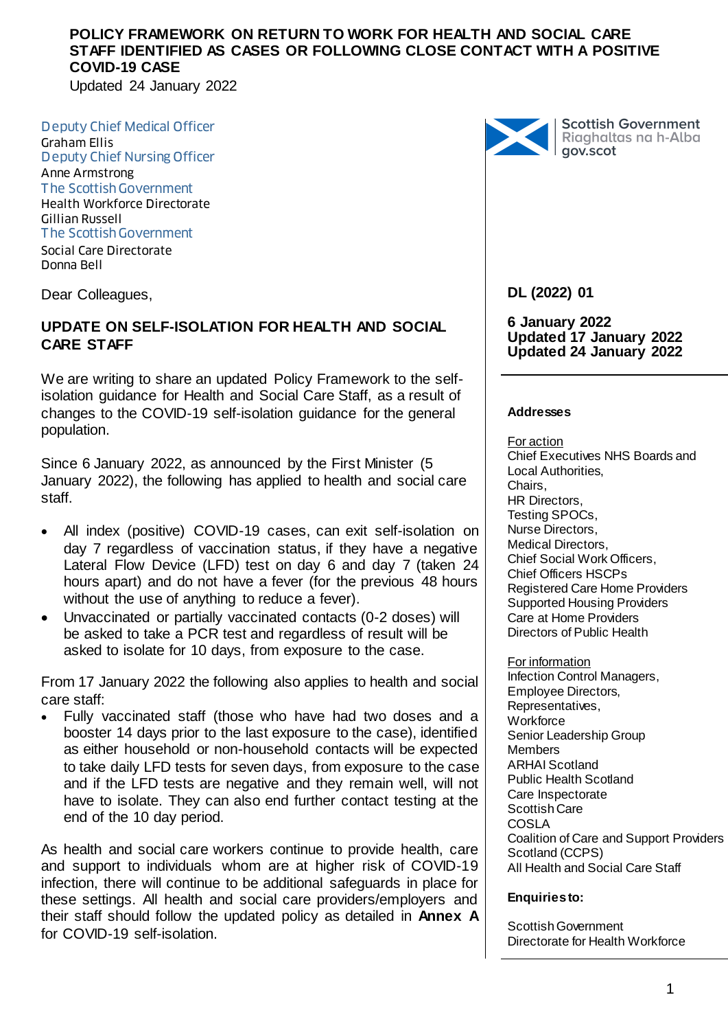Updated 24 January 2022

Deputy Chief Medical Officer Graham Ellis Deputy Chief Nursing Officer Anne Armstrong The Scottish Government Health Workforce Directorate Gillian Russell The Scottish Government Social Care Directorate Donna Bell

Dear Colleagues,

## **UPDATE ON SELF-ISOLATION FOR HEALTH AND SOCIAL CARE STAFF**

We are writing to share an updated Policy Framework to the selfisolation guidance for Health and Social Care Staff, as a result of changes to the COVID-19 self-isolation guidance for the general population.

Since 6 January 2022, as announced by the First Minister (5 January 2022), the following has applied to health and social care staff.

- All index (positive) COVID-19 cases, can exit self-isolation on day 7 regardless of vaccination status, if they have a negative Lateral Flow Device (LFD) test on day 6 and day 7 (taken 24 hours apart) and do not have a fever (for the previous 48 hours without the use of anything to reduce a fever).
- Unvaccinated or partially vaccinated contacts (0-2 doses) will be asked to take a PCR test and regardless of result will be asked to isolate for 10 days, from exposure to the case.

From 17 January 2022 the following also applies to health and social care staff:

 Fully vaccinated staff (those who have had two doses and a booster 14 days prior to the last exposure to the case), identified as either household or non-household contacts will be expected to take daily LFD tests for seven days, from exposure to the case and if the LFD tests are negative and they remain well, will not have to isolate. They can also end further contact testing at the end of the 10 day period.

As health and social care workers continue to provide health, care and support to individuals whom are at higher risk of COVID-19 infection, there will continue to be additional safeguards in place for these settings. All health and social care providers/employers and their staff should follow the updated policy as detailed in **Annex A** for COVID-19 self-isolation.



Scottish Government<br>Riaghaltas na h-Alba<br>gov.scot

## **DL (2022) 01**

**6 January 2022 Updated 17 January 2022 Updated 24 January 2022**

#### **Addresses**

For action Chief Executives NHS Boards and Local Authorities, Chairs, HR Directors, Testing SPOCs, Nurse Directors, Medical Directors, Chief Social Work Officers, Chief Officers HSCPs Registered Care Home Providers Supported Housing Providers Care at Home Providers Directors of Public Health

For information Infection Control Managers, Employee Directors, Representatives, **Workforce** Senior Leadership Group Members ARHAI Scotland Public Health Scotland Care Inspectorate Scottish Care COSLA Coalition of Care and Support Providers Scotland (CCPS) All Health and Social Care Staff

#### **Enquiries to:**

Scottish Government Directorate for Health Workforce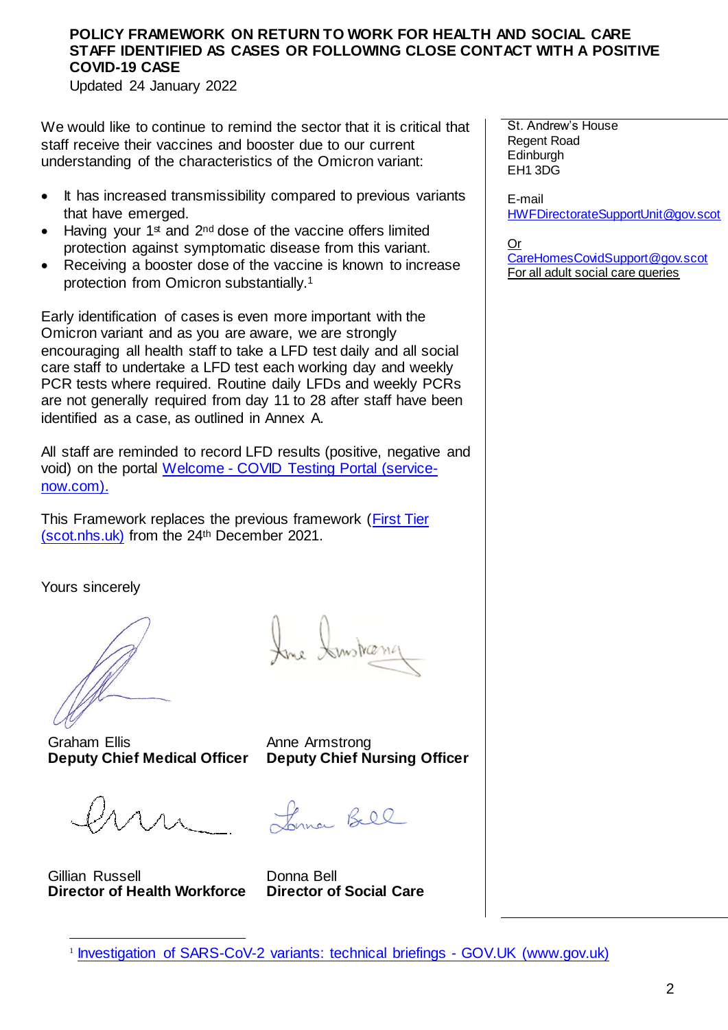Updated 24 January 2022

We would like to continue to remind the sector that it is critical that staff receive their vaccines and booster due to our current understanding of the characteristics of the Omicron variant:

- It has increased transmissibility compared to previous variants that have emerged.
- Having your  $1<sup>st</sup>$  and  $2<sup>nd</sup>$  dose of the vaccine offers limited protection against symptomatic disease from this variant.
- Receiving a booster dose of the vaccine is known to increase protection from Omicron substantially.<sup>1</sup>

Early identification of cases is even more important with the Omicron variant and as you are aware, we are strongly encouraging all health staff to take a LFD test daily and all social care staff to undertake a LFD test each working day and weekly PCR tests where required. Routine daily LFDs and weekly PCRs are not generally required from day 11 to 28 after staff have been identified as a case, as outlined in Annex A.

All staff are reminded to record LFD results (positive, negative and void) on the portal Welcome - [COVID Testing Portal \(service](https://nhsnss.service-now.com/covidtesting)[now.com\).](https://nhsnss.service-now.com/covidtesting)

This Framework replaces the previous framework [\(First Tier](https://www.sehd.scot.nhs.uk/dl/DL(2021)50.pdf)  [\(scot.nhs.uk\)](https://www.sehd.scot.nhs.uk/dl/DL(2021)50.pdf) from the 24th December 2021.

Yours sincerely

Graham Ellis **Deputy Chief Medical Officer**

Gillian Russell **Director of Health Workforce** 

-

Instranc

Anne Armstrong **Deputy Chief Nursing Officer** 

Longe Bell

Donna Bell **Director of Social Care**

E-mail [HWFDirectorateSupportUnit@gov.scot](mailto:HWFDirectorateSupportUnit@gov.scot)

Or [CareHomesCovidSupport@gov.scot](mailto:CareHomesCovidSupport@gov.scot) For all adult social care queries

St. Andrew's House Regent Road **Edinburgh** EH1 3DG

<sup>&</sup>lt;sup>1</sup> [Investigation of SARS-CoV-2 variants: technical briefings -](https://www.gov.uk/government/publications/investigation-of-sars-cov-2-variants-technical-briefings) GOV.UK (www.gov.uk)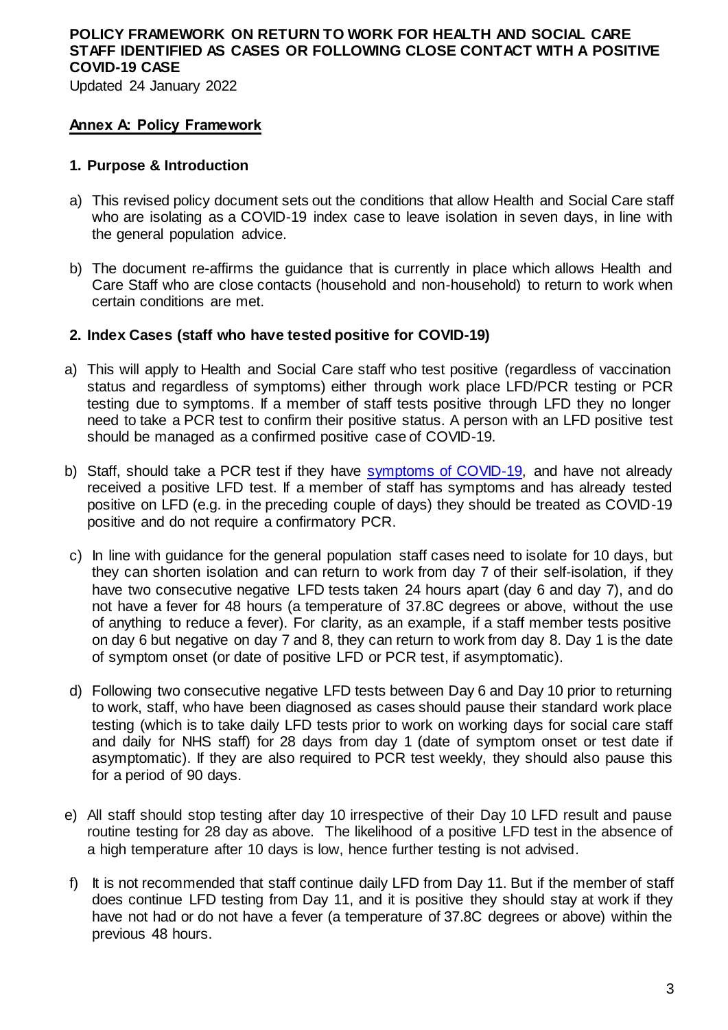Updated 24 January 2022

#### **Annex A: Policy Framework**

#### **1. Purpose & Introduction**

- a) This revised policy document sets out the conditions that allow Health and Social Care staff who are isolating as a COVID-19 index case to leave isolation in seven days, in line with the general population advice.
- b) The document re-affirms the guidance that is currently in place which allows Health and Care Staff who are close contacts (household and non-household) to return to work when certain conditions are met.

## **2. Index Cases (staff who have tested positive for COVID-19)**

- a) This will apply to Health and Social Care staff who test positive (regardless of vaccination status and regardless of symptoms) either through work place LFD/PCR testing or PCR testing due to symptoms. If a member of staff tests positive through LFD they no longer need to take a PCR test to confirm their positive status. A person with an LFD positive test should be managed as a confirmed positive case of COVID-19.
- b) Staff, should take a PCR test if they have [symptoms of COVID-19,](https://www.nhsinform.scot/illnesses-and-conditions/infections-and-poisoning/coronavirus-covid-19/coronavirus-covid-19-general-advice) and have not already received a positive LFD test. If a member of staff has symptoms and has already tested positive on LFD (e.g. in the preceding couple of days) they should be treated as COVID-19 positive and do not require a confirmatory PCR.
- c) In line with guidance for the general population staff cases need to isolate for 10 days, but they can shorten isolation and can return to work from day 7 of their self-isolation, if they have two consecutive negative LFD tests taken 24 hours apart (day 6 and day 7), and do not have a fever for 48 hours (a temperature of 37.8C degrees or above, without the use of anything to reduce a fever). For clarity, as an example, if a staff member tests positive on day 6 but negative on day 7 and 8, they can return to work from day 8. Day 1 is the date of symptom onset (or date of positive LFD or PCR test, if asymptomatic).
- d) Following two consecutive negative LFD tests between Day 6 and Day 10 prior to returning to work, staff, who have been diagnosed as cases should pause their standard work place testing (which is to take daily LFD tests prior to work on working days for social care staff and daily for NHS staff) for 28 days from day 1 (date of symptom onset or test date if asymptomatic). If they are also required to PCR test weekly, they should also pause this for a period of 90 days.
- e) All staff should stop testing after day 10 irrespective of their Day 10 LFD result and pause routine testing for 28 day as above. The likelihood of a positive LFD test in the absence of a high temperature after 10 days is low, hence further testing is not advised.
- f) It is not recommended that staff continue daily LFD from Day 11. But if the member of staff does continue LFD testing from Day 11, and it is positive they should stay at work if they have not had or do not have a fever (a temperature of 37.8C degrees or above) within the previous 48 hours.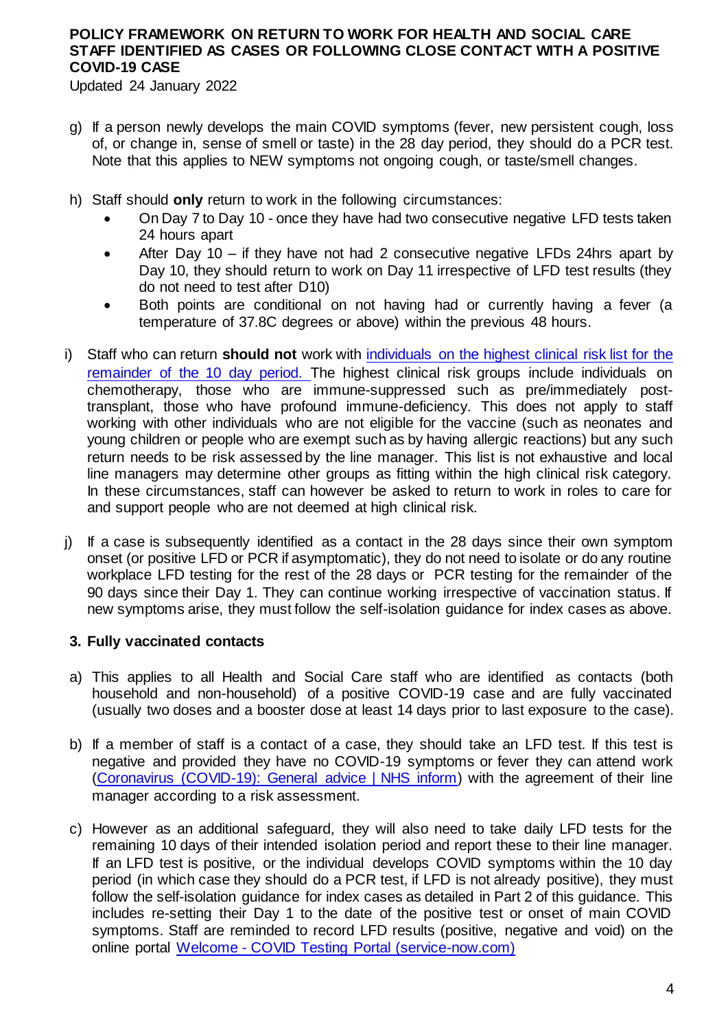Updated 24 January 2022

- g) If a person newly develops the main COVID symptoms (fever, new persistent cough, loss of, or change in, sense of smell or taste) in the 28 day period, they should do a PCR test. Note that this applies to NEW symptoms not ongoing cough, or taste/smell changes.
- h) Staff should **only** return to work in the following circumstances:
	- On Day 7 to Day 10 once they have had two consecutive negative LFD tests taken 24 hours apart
	- After Day 10 if they have not had 2 consecutive negative LFDs 24hrs apart by Day 10, they should return to work on Day 11 irrespective of LFD test results (they do not need to test after D10)
	- Both points are conditional on not having had or currently having a fever (a temperature of 37.8C degrees or above) within the previous 48 hours.
- i) Staff who can return **should not** work with [individuals on the highest clinical risk list](https://www.gov.scot/publications/covid-highest-risk/pages/highest-risk-classification/) for the remainder of the 10 day period. The highest clinical risk groups include individuals on chemotherapy, those who are immune-suppressed such as pre/immediately posttransplant, those who have profound immune-deficiency. This does not apply to staff working with other individuals who are not eligible for the vaccine (such as neonates and young children or people who are exempt such as by having allergic reactions) but any such return needs to be risk assessed by the line manager. This list is not exhaustive and local line managers may determine other groups as fitting within the high clinical risk category. In these circumstances, staff can however be asked to return to work in roles to care for and support people who are not deemed at high clinical risk.
- j) If a case is subsequently identified as a contact in the 28 days since their own symptom onset (or positive LFD or PCR if asymptomatic), they do not need to isolate or do any routine workplace LFD testing for the rest of the 28 days or PCR testing for the remainder of the 90 days since their Day 1. They can continue working irrespective of vaccination status. If new symptoms arise, they must follow the self-isolation guidance for index cases as above.

#### **3. Fully vaccinated contacts**

- a) This applies to all Health and Social Care staff who are identified as contacts (both household and non-household) of a positive COVID-19 case and are fully vaccinated (usually two doses and a booster dose at least 14 days prior to last exposure to the case).
- b) If a member of staff is a contact of a case, they should take an LFD test. If this test is negative and provided they have no COVID-19 symptoms or fever they can attend work [\(Coronavirus \(COVID-19\): General advice | NHS inform\)](https://www.nhsinform.scot/illnesses-and-conditions/infections-and-poisoning/coronavirus-covid-19/coronavirus-covid-19-general-advice) with the agreement of their line manager according to a risk assessment.
- c) However as an additional safeguard, they will also need to take daily LFD tests for the remaining 10 days of their intended isolation period and report these to their line manager. If an LFD test is positive, or the individual develops COVID symptoms within the 10 day period (in which case they should do a PCR test, if LFD is not already positive), they must follow the self-isolation guidance for index cases as detailed in Part 2 of this guidance. This includes re-setting their Day 1 to the date of the positive test or onset of main COVID symptoms. Staff are reminded to record LFD results (positive, negative and void) on the online portal Welcome - [COVID Testing Portal \(service-now.com\)](https://nhsnss.service-now.com/covidtesting)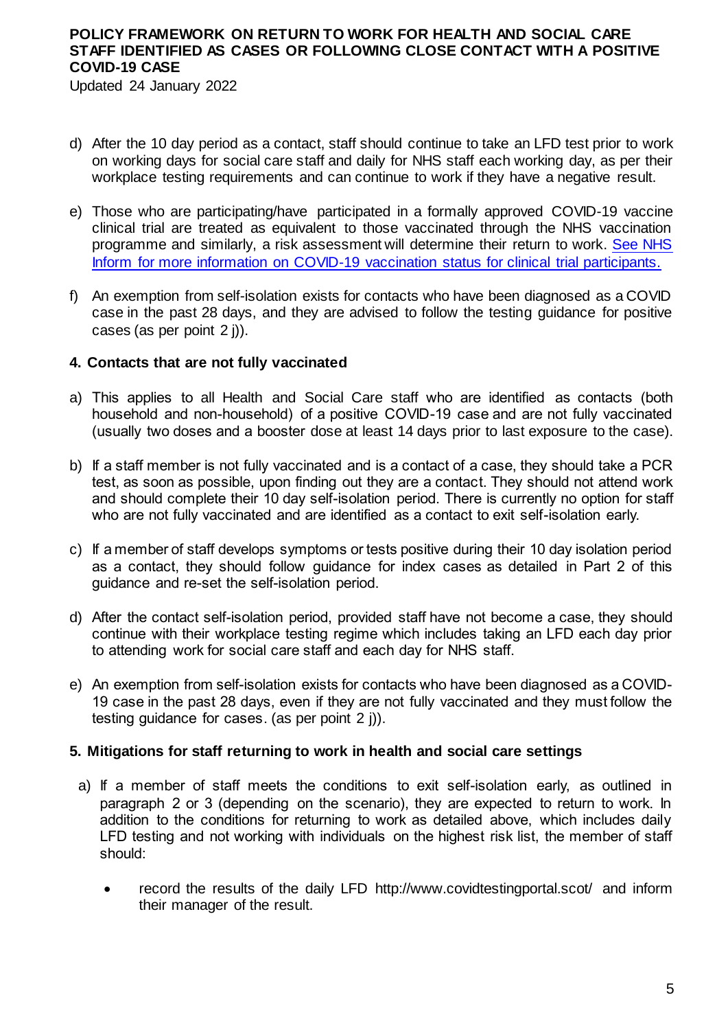Updated 24 January 2022

- d) After the 10 day period as a contact, staff should continue to take an LFD test prior to work on working days for social care staff and daily for NHS staff each working day, as per their workplace testing requirements and can continue to work if they have a negative result.
- e) Those who are participating/have participated in a formally approved COVID-19 vaccine clinical trial are treated as equivalent to those vaccinated through the NHS vaccination programme and similarly, a risk assessment will determine their return to work. [See NHS](https://www.nhsinform.scot/clinicaltrialparticipants)  Inform for more information on COVID-19 [vaccination status for clinical trial participants.](https://www.nhsinform.scot/clinicaltrialparticipants)
- f) An exemption from self-isolation exists for contacts who have been diagnosed as a COVID case in the past 28 days, and they are advised to follow the testing guidance for positive cases (as per point 2 j)).

#### **4. Contacts that are not fully vaccinated**

- a) This applies to all Health and Social Care staff who are identified as contacts (both household and non-household) of a positive COVID-19 case and are not fully vaccinated (usually two doses and a booster dose at least 14 days prior to last exposure to the case).
- b) If a staff member is not fully vaccinated and is a contact of a case, they should take a PCR test, as soon as possible, upon finding out they are a contact. They should not attend work and should complete their 10 day self-isolation period. There is currently no option for staff who are not fully vaccinated and are identified as a contact to exit self-isolation early.
- c) If a member of staff develops symptoms or tests positive during their 10 day isolation period as a contact, they should follow guidance for index cases as detailed in Part 2 of this guidance and re-set the self-isolation period.
- d) After the contact self-isolation period, provided staff have not become a case, they should continue with their workplace testing regime which includes taking an LFD each day prior to attending work for social care staff and each day for NHS staff.
- e) An exemption from self-isolation exists for contacts who have been diagnosed as a COVID-19 case in the past 28 days, even if they are not fully vaccinated and they must follow the testing guidance for cases. (as per point 2 j)).

#### **5. Mitigations for staff returning to work in health and social care settings**

- a) If a member of staff meets the conditions to exit self-isolation early, as outlined in paragraph 2 or 3 (depending on the scenario), they are expected to return to work. In addition to the conditions for returning to work as detailed above, which includes daily LFD testing and not working with individuals on the highest risk list, the member of staff should:
	- record the results of the daily LFD<http://www.covidtestingportal.scot/> and inform their manager of the result.